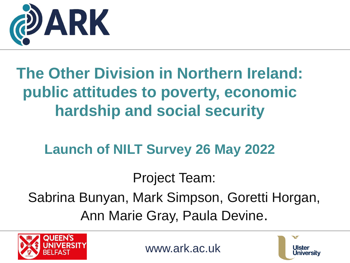

### **The Other Division in Northern Ireland: public attitudes to poverty, economic hardship and social security**

#### **Launch of NILT Survey 26 May 2022**

Project Team:

Sabrina Bunyan, Mark Simpson, Goretti Horgan, Ann Marie Gray, Paula Devine.



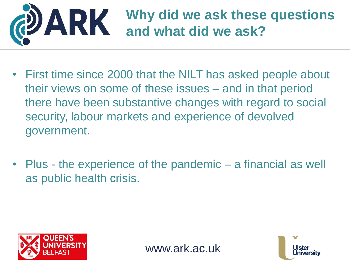

- First time since 2000 that the NILT has asked people about their views on some of these issues – and in that period there have been substantive changes with regard to social security, labour markets and experience of devolved government.
- Plus the experience of the pandemic a financial as well as public health crisis.



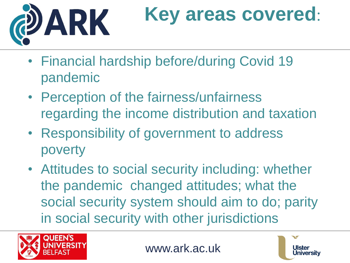

# **Key areas covered**:

- Financial hardship before/during Covid 19 pandemic
- Perception of the fairness/unfairness regarding the income distribution and taxation
- Responsibility of government to address poverty
- Attitudes to social security including: whether the pandemic changed attitudes; what the social security system should aim to do; parity in social security with other jurisdictions



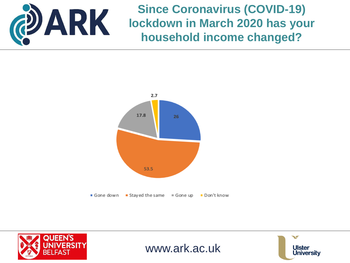

**Since Coronavirus (COVID-19) lockdown in March 2020 has your household income changed?**







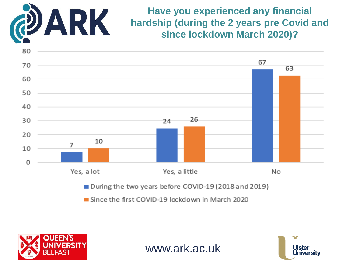

**Have you experienced any financial hardship (during the 2 years pre Covid and since lockdown March 2020)?**







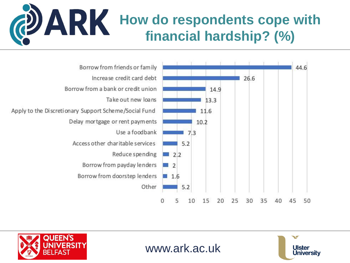### **PIARK** How do respondents cope with **financial hardship? (%)**









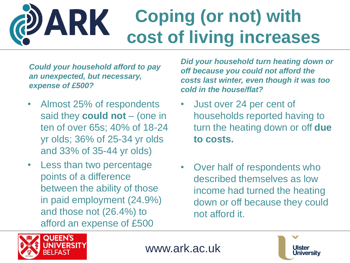#### **Coping (or not) with**  ARK **cost of living increases**

*Could your household afford to pay an unexpected, but necessary, expense of £500?*

- Almost 25% of respondents said they **could not** – (one in ten of over 65s; 40% of 18-24 yr olds; 36% of 25-34 yr olds and 33% of 35-44 yr olds)
- Less than two percentage points of a difference between the ability of those in paid employment (24.9%) and those not (26.4%) to afford an expense of £500

*Did your household turn heating down or off because you could not afford the costs last winter, even though it was too cold in the house/flat?*

- Just over 24 per cent of households reported having to turn the heating down or off **due to costs.**
- Over half of respondents who described themselves as low income had turned the heating down or off because they could not afford it.



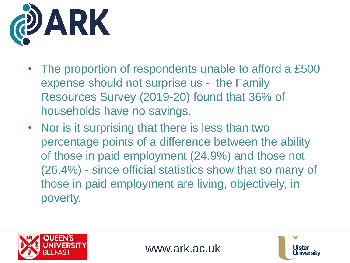

- The proportion of respondents unable to afford a £500 expense should not surprise us - the Family Resources Survey (2019-20) found that 36% of households have no savings.
- Nor is it surprising that there is less than two percentage points of a difference between the ability of those in paid employment (24.9%) and those not (26.4%) - since official statistics show that so many of those in paid employment are living, objectively, in poverty.





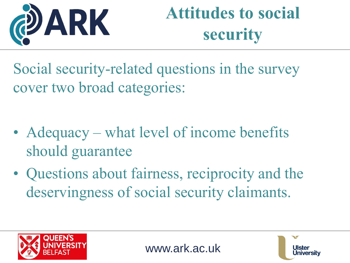

### **Attitudes to social security**

Social security-related questions in the survey cover two broad categories:

- Adequacy what level of income benefits should guarantee
- Questions about fairness, reciprocity and the deservingness of social security claimants.





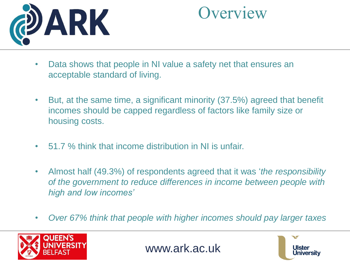

### **Overview**

- Data shows that people in NI value a safety net that ensures an acceptable standard of living.
- But, at the same time, a significant minority (37.5%) agreed that benefit incomes should be capped regardless of factors like family size or housing costs.
- 51.7 % think that income distribution in NI is unfair.
- Almost half (49.3%) of respondents agreed that it was '*the responsibility of the government to reduce differences in income between people with high and low incomes'*
- *Over 67% think that people with higher incomes should pay larger taxes*



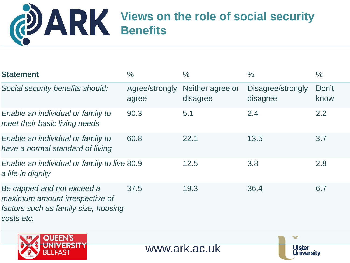# **Views on the role of social security Benefits**

| <b>Statement</b>                                                                                                   | $\frac{0}{0}$           | $\frac{0}{0}$                | $\frac{0}{0}$                 | $\frac{0}{0}$ |
|--------------------------------------------------------------------------------------------------------------------|-------------------------|------------------------------|-------------------------------|---------------|
| Social security benefits should:                                                                                   | Agree/strongly<br>agree | Neither agree or<br>disagree | Disagree/strongly<br>disagree | Don't<br>know |
| Enable an individual or family to<br>meet their basic living needs                                                 | 90.3                    | 5.1                          | 2.4                           | 2.2           |
| Enable an individual or family to<br>have a normal standard of living                                              | 60.8                    | 22.1                         | 13.5                          | 3.7           |
| Enable an individual or family to live 80.9<br>a life in dignity                                                   |                         | 12.5                         | 3.8                           | 2.8           |
| Be capped and not exceed a<br>maximum amount irrespective of<br>factors such as family size, housing<br>costs etc. | 37.5                    | 19.3                         | 36.4                          | 6.7           |
| <b>QUEEN'S</b>                                                                                                     |                         |                              | $\blacktriangledown$          |               |
| BELFAST                                                                                                            |                         | www.ark.ac.uk                | <b>Ulster</b><br>Universitv   |               |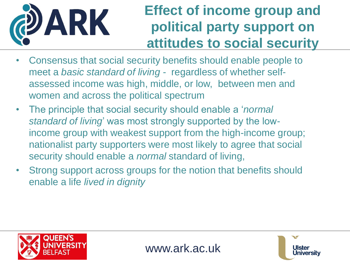

#### **Effect of income group and political party support on attitudes to social security**

- Consensus that social security benefits should enable people to meet a *basic standard of living* - regardless of whether selfassessed income was high, middle, or low, between men and women and across the political spectrum
- The principle that social security should enable a '*normal standard of living*' was most strongly supported by the lowincome group with weakest support from the high-income group; nationalist party supporters were most likely to agree that social security should enable a *normal* standard of living,
- Strong support across groups for the notion that benefits should enable a life *lived in dignity*



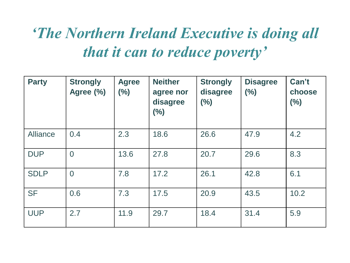### *'The Northern Ireland Executive is doing all that it can to reduce poverty'*

| <b>Party</b> | <b>Strongly</b><br>Agree (%) | <b>Agree</b><br>(%) | <b>Neither</b><br>agree nor<br>disagree<br>(%) | <b>Strongly</b><br>disagree<br>(%) | <b>Disagree</b><br>(%) | Can't<br>choose<br>(%) |
|--------------|------------------------------|---------------------|------------------------------------------------|------------------------------------|------------------------|------------------------|
| Alliance     | 0.4                          | 2.3                 | 18.6                                           | 26.6                               | 47.9                   | 4.2                    |
| <b>DUP</b>   | $\overline{0}$               | 13.6                | 27.8                                           | 20.7                               | 29.6                   | 8.3                    |
| <b>SDLP</b>  | $\overline{0}$               | 7.8                 | 17.2                                           | 26.1                               | 42.8                   | 6.1                    |
| <b>SF</b>    | 0.6                          | 7.3                 | 17.5                                           | 20.9                               | 43.5                   | 10.2                   |
| <b>UUP</b>   | 2.7                          | 11.9                | 29.7                                           | 18.4                               | 31.4                   | 5.9                    |